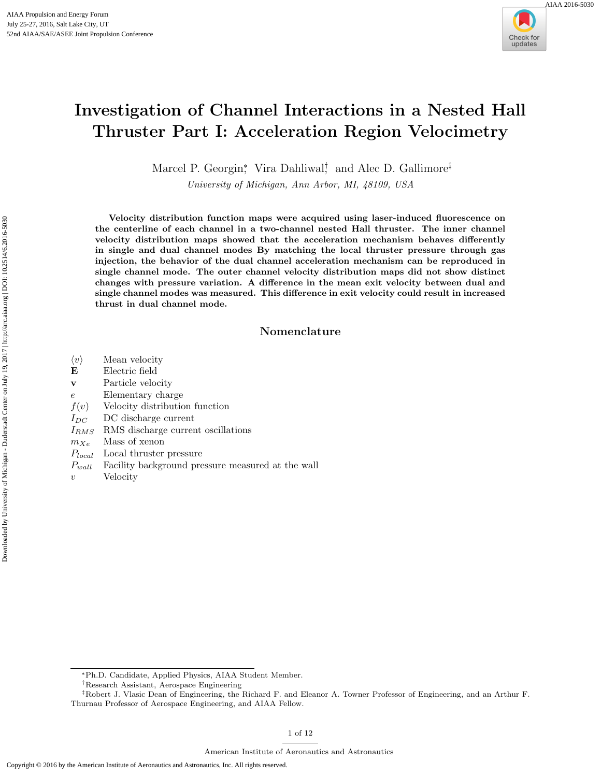

# Investigation of Channel Interactions in a Nested Hall Thruster Part I: Acceleration Region Velocimetry

Marcel P. Georgin,<sup>\*</sup> Vira Dahliwal,<sup>†</sup> and Alec D. Gallimore<sup>†</sup>

University of Michigan, Ann Arbor, MI, 48109, USA

Velocity distribution function maps were acquired using laser-induced fluorescence on the centerline of each channel in a two-channel nested Hall thruster. The inner channel velocity distribution maps showed that the acceleration mechanism behaves differently in single and dual channel modes By matching the local thruster pressure through gas injection, the behavior of the dual channel acceleration mechanism can be reproduced in single channel mode. The outer channel velocity distribution maps did not show distinct changes with pressure variation. A difference in the mean exit velocity between dual and single channel modes was measured. This difference in exit velocity could result in increased thrust in dual channel mode.

# Nomenclature

- $\langle v \rangle$  Mean velocity<br>**E** Electric field
- Electric field
- v Particle velocity
- e Elementary charge
- $f(v)$  Velocity distribution function
- $I_{DC}$  DC discharge current
- $I_{RMS}$  RMS discharge current oscillations
- $m_{Xe}$  Mass of xenon
- $P_{local}$  Local thruster pressure
- $P_{wall}$  Facility background pressure measured at the wall
- v Velocity

<sup>\*</sup>Ph.D. Candidate, Applied Physics, AIAA Student Member.

Research Assistant, Aerospace Engineering

Robert J. Vlasic Dean of Engineering, the Richard F. and Eleanor A. Towner Professor of Engineering, and an Arthur F. Thurnau Professor of Aerospace Engineering, and AIAA Fellow.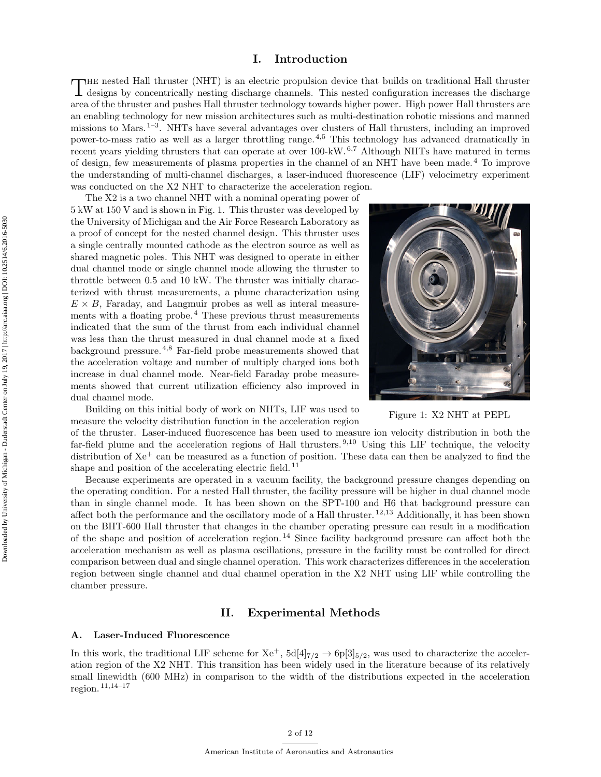# I. Introduction

THE nested Hall thruster (NHT) is an electric propulsion device that builds on traditional Hall thruster designs by concentrically nesting discharge channels. This nested configuration increases the discharge designs by concentrically nesting discharge channels. This nested configuration increases the discharge area of the thruster and pushes Hall thruster technology towards higher power. High power Hall thrusters are an enabling technology for new mission architectures such as multi-destination robotic missions and manned missions to Mars. <sup>1-[3](#page-11-1)</sup>. NHTs have several advantages over clusters of Hall thrusters, including an improved power-to-mass ratio as well as a larger throttling range. [4,](#page-11-2)[5](#page-11-3) This technology has advanced dramatically in recent years yielding thrusters that can operate at over 100-kW. [6,](#page-11-4)[7](#page-11-5) Although NHTs have matured in terms of design, few measurements of plasma properties in the channel of an NHT have been made. [4](#page-11-2) To improve the understanding of multi-channel discharges, a laser-induced fluorescence (LIF) velocimetry experiment was conducted on the X2 NHT to characterize the acceleration region.

The X2 is a two channel NHT with a nominal operating power of 5 kW at 150 V and is shown in Fig. [1.](#page-1-0) This thruster was developed by the University of Michigan and the Air Force Research Laboratory as a proof of concept for the nested channel design. This thruster uses a single centrally mounted cathode as the electron source as well as shared magnetic poles. This NHT was designed to operate in either dual channel mode or single channel mode allowing the thruster to throttle between 0.5 and 10 kW. The thruster was initially characterized with thrust measurements, a plume characterization using  $E \times B$ , Faraday, and Langmuir probes as well as interal measurements with a floating probe. [4](#page-11-2) These previous thrust measurements indicated that the sum of the thrust from each individual channel was less than the thrust measured in dual channel mode at a fixed background pressure. [4](#page-11-2)[,8](#page-11-6) Far-field probe measurements showed that the acceleration voltage and number of multiply charged ions both increase in dual channel mode. Near-field Faraday probe measurements showed that current utilization efficiency also improved in dual channel mode.

<span id="page-1-0"></span>

Building on this initial body of work on NHTs, LIF was used to measure the velocity distribution function in the acceleration region

Figure 1: X2 NHT at PEPL

of the thruster. Laser-induced fluorescence has been used to measure ion velocity distribution in both the far-field plume and the acceleration regions of Hall thrusters. [9](#page-11-7)[,10](#page-11-8) Using this LIF technique, the velocity distribution of  $Xe^+$  can be measured as a function of position. These data can then be analyzed to find the shape and position of the accelerating electric field.<sup>[11](#page-11-9)</sup>

Because experiments are operated in a vacuum facility, the background pressure changes depending on the operating condition. For a nested Hall thruster, the facility pressure will be higher in dual channel mode than in single channel mode. It has been shown on the SPT-100 and H6 that background pressure can affect both the performance and the oscillatory mode of a Hall thruster. [12,](#page-11-10)[13](#page-11-11) Additionally, it has been shown on the BHT-600 Hall thruster that changes in the chamber operating pressure can result in a modification of the shape and position of acceleration region.<sup>[14](#page-11-12)</sup> Since facility background pressure can affect both the acceleration mechanism as well as plasma oscillations, pressure in the facility must be controlled for direct comparison between dual and single channel operation. This work characterizes differences in the acceleration region between single channel and dual channel operation in the X2 NHT using LIF while controlling the chamber pressure.

# II. Experimental Methods

#### A. Laser-Induced Fluorescence

In this work, the traditional LIF scheme for  $Xe^+$ ,  $5d[4]_{7/2} \rightarrow 6p[3]_{5/2}$ , was used to characterize the acceleration region of the X2 NHT. This transition has been widely used in the literature because of its relatively small linewidth (600 MHz) in comparison to the width of the distributions expected in the acceleration region. [11,](#page-11-9)[14](#page-11-12)[–17](#page-11-13)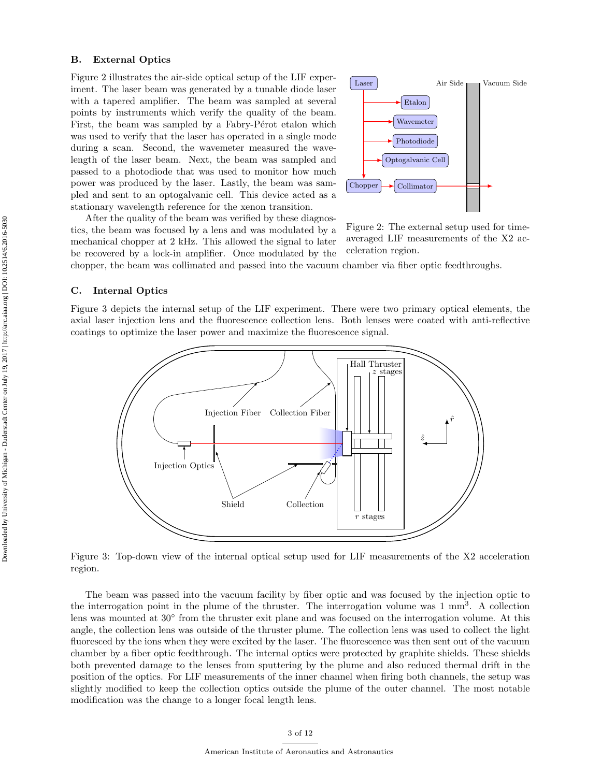#### B. External Optics

Figure [2](#page-2-0) illustrates the air-side optical setup of the LIF experiment. The laser beam was generated by a tunable diode laser with a tapered amplifier. The beam was sampled at several points by instruments which verify the quality of the beam. First, the beam was sampled by a Fabry-Pérot etalon which was used to verify that the laser has operated in a single mode during a scan. Second, the wavemeter measured the wavelength of the laser beam. Next, the beam was sampled and passed to a photodiode that was used to monitor how much power was produced by the laser. Lastly, the beam was sampled and sent to an optogalvanic cell. This device acted as a stationary wavelength reference for the xenon transition.

After the quality of the beam was verified by these diagnostics, the beam was focused by a lens and was modulated by a mechanical chopper at 2 kHz. This allowed the signal to later be recovered by a lock-in amplifier. Once modulated by the

<span id="page-2-0"></span>

Figure 2: The external setup used for timeaveraged LIF measurements of the X2 acceleration region.

chopper, the beam was collimated and passed into the vacuum chamber via fiber optic feedthroughs.

# C. Internal Optics

Figure [3](#page-2-1) depicts the internal setup of the LIF experiment. There were two primary optical elements, the axial laser injection lens and the fluorescence collection lens. Both lenses were coated with anti-reflective coatings to optimize the laser power and maximize the fluorescence signal.

<span id="page-2-1"></span>

Figure 3: Top-down view of the internal optical setup used for LIF measurements of the X2 acceleration region.

The beam was passed into the vacuum facility by fiber optic and was focused by the injection optic to the interrogation point in the plume of the thruster. The interrogation volume was 1 mm<sup>3</sup>. A collection lens was mounted at 30° from the thruster exit plane and was focused on the interrogation volume. At this angle, the collection lens was outside of the thruster plume. The collection lens was used to collect the light fluoresced by the ions when they were excited by the laser. The fluorescence was then sent out of the vacuum chamber by a fiber optic feedthrough. The internal optics were protected by graphite shields. These shields both prevented damage to the lenses from sputtering by the plume and also reduced thermal drift in the position of the optics. For LIF measurements of the inner channel when firing both channels, the setup was slightly modified to keep the collection optics outside the plume of the outer channel. The most notable modification was the change to a longer focal length lens.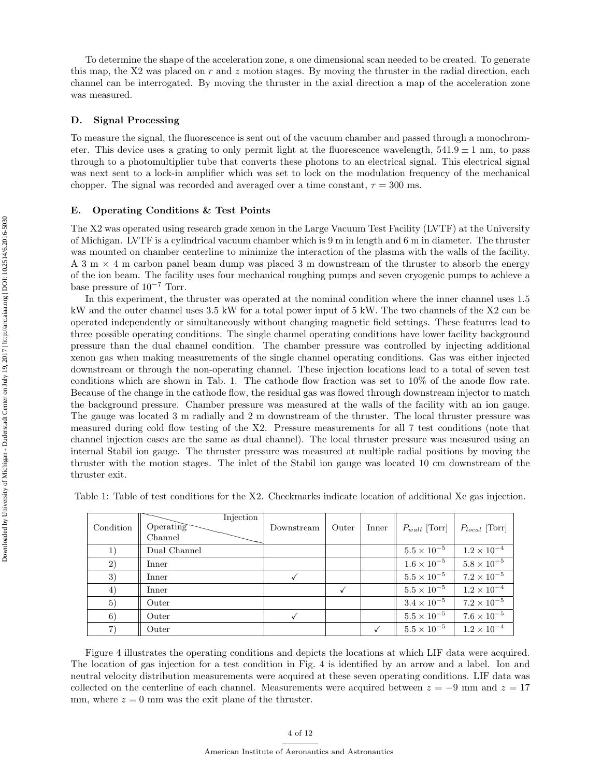To determine the shape of the acceleration zone, a one dimensional scan needed to be created. To generate this map, the X2 was placed on  $r$  and  $z$  motion stages. By moving the thruster in the radial direction, each channel can be interrogated. By moving the thruster in the axial direction a map of the acceleration zone was measured.

#### D. Signal Processing

To measure the signal, the fluorescence is sent out of the vacuum chamber and passed through a monochrometer. This device uses a grating to only permit light at the fluorescence wavelength,  $541.9 \pm 1$  nm, to pass through to a photomultiplier tube that converts these photons to an electrical signal. This electrical signal was next sent to a lock-in amplifier which was set to lock on the modulation frequency of the mechanical chopper. The signal was recorded and averaged over a time constant,  $\tau = 300$  ms.

#### E. Operating Conditions & Test Points

The X2 was operated using research grade xenon in the Large Vacuum Test Facility (LVTF) at the University of Michigan. LVTF is a cylindrical vacuum chamber which is 9 m in length and 6 m in diameter. The thruster was mounted on chamber centerline to minimize the interaction of the plasma with the walls of the facility. A 3 m  $\times$  4 m carbon panel beam dump was placed 3 m downstream of the thruster to absorb the energy of the ion beam. The facility uses four mechanical roughing pumps and seven cryogenic pumps to achieve a base pressure of 10<sup>−</sup><sup>7</sup> Torr.

In this experiment, the thruster was operated at the nominal condition where the inner channel uses 1.5 kW and the outer channel uses 3.5 kW for a total power input of 5 kW. The two channels of the X2 can be operated independently or simultaneously without changing magnetic field settings. These features lead to three possible operating conditions. The single channel operating conditions have lower facility background pressure than the dual channel condition. The chamber pressure was controlled by injecting additional xenon gas when making measurements of the single channel operating conditions. Gas was either injected downstream or through the non-operating channel. These injection locations lead to a total of seven test conditions which are shown in Tab. [1.](#page-3-0) The cathode flow fraction was set to 10% of the anode flow rate. Because of the change in the cathode flow, the residual gas was flowed through downstream injector to match the background pressure. Chamber pressure was measured at the walls of the facility with an ion gauge. The gauge was located 3 m radially and 2 m downstream of the thruster. The local thruster pressure was measured during cold flow testing of the X2. Pressure measurements for all 7 test conditions (note that channel injection cases are the same as dual channel). The local thruster pressure was measured using an internal Stabil ion gauge. The thruster pressure was measured at multiple radial positions by moving the thruster with the motion stages. The inlet of the Stabil ion gauge was located 10 cm downstream of the thruster exit.

<span id="page-3-0"></span>

| Table 1: Table of test conditions for the X2. Checkmarks indicate location of additional Xe gas injection. |  |  |  |  |  |  |  |  |  |
|------------------------------------------------------------------------------------------------------------|--|--|--|--|--|--|--|--|--|
|------------------------------------------------------------------------------------------------------------|--|--|--|--|--|--|--|--|--|

| Condition      | Injection<br>Operating<br>Channel | Downstream | Outer | Inner | $P_{wall}$ [Torr]   $P_{local}$ [Torr] |                      |
|----------------|-----------------------------------|------------|-------|-------|----------------------------------------|----------------------|
|                | Dual Channel                      |            |       |       | $5.5 \times 10^{-5}$                   | $1.2 \times 10^{-4}$ |
| 2)             | Inner                             |            |       |       | $1.6 \times 10^{-5}$                   | $5.8 \times 10^{-5}$ |
| 3)             | Inner                             |            |       |       | $5.5 \times 10^{-5}$                   | $7.2 \times 10^{-5}$ |
| 4)             | Inner                             |            |       |       | $5.5\times10^{-5}$                     | $1.2 \times 10^{-4}$ |
| 5)             | Outer                             |            |       |       | $3.4 \times 10^{-5}$                   | $7.2 \times 10^{-5}$ |
| 6)             | Outer                             |            |       |       | $5.5 \times 10^{-5}$                   | $7.6 \times 10^{-5}$ |
| $\overline{7}$ | Outer                             |            |       |       | $5.5 \times 10^{-5}$                   | $1.2 \times 10^{-4}$ |

Figure [4](#page-4-0) illustrates the operating conditions and depicts the locations at which LIF data were acquired. The location of gas injection for a test condition in Fig. [4](#page-4-0) is identified by an arrow and a label. Ion and neutral velocity distribution measurements were acquired at these seven operating conditions. LIF data was collected on the centerline of each channel. Measurements were acquired between  $z = -9$  mm and  $z = 17$ mm, where  $z = 0$  mm was the exit plane of the thruster.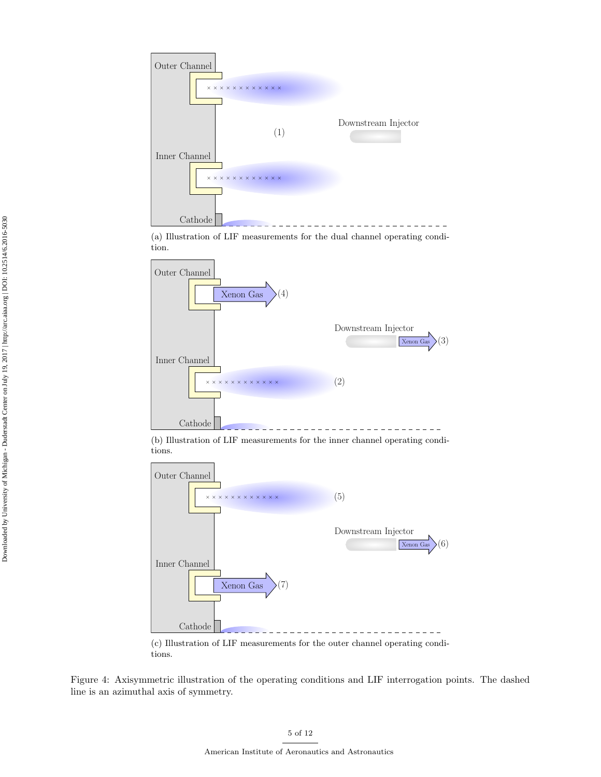<span id="page-4-0"></span>

(a) Illustration of LIF measurements for the dual channel operating condition.



(b) Illustration of LIF measurements for the inner channel operating conditions.



Figure 4: Axisymmetric illustration of the operating conditions and LIF interrogation points. The dashed line is an azimuthal axis of symmetry.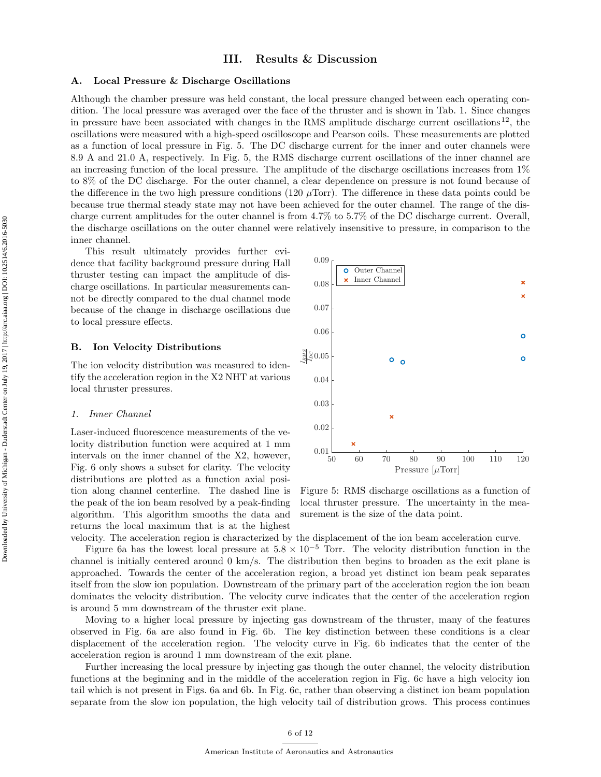# A. Local Pressure & Discharge Oscillations

Although the chamber pressure was held constant, the local pressure changed between each operating condition. The local pressure was averaged over the face of the thruster and is shown in Tab. [1.](#page-3-0) Since changes in pressure have been associated with changes in the RMS amplitude discharge current oscillations  $^{12}$  $^{12}$  $^{12}$ , the oscillations were measured with a high-speed oscilloscope and Pearson coils. These measurements are plotted as a function of local pressure in Fig. [5.](#page-5-0) The DC discharge current for the inner and outer channels were 8.9 A and 21.0 A, respectively. In Fig. [5,](#page-5-0) the RMS discharge current oscillations of the inner channel are an increasing function of the local pressure. The amplitude of the discharge oscillations increases from 1% to 8% of the DC discharge. For the outer channel, a clear dependence on pressure is not found because of the difference in the two high pressure conditions (120  $\mu$ Torr). The difference in these data points could be because true thermal steady state may not have been achieved for the outer channel. The range of the discharge current amplitudes for the outer channel is from 4.7% to 5.7% of the DC discharge current. Overall, the discharge oscillations on the outer channel were relatively insensitive to pressure, in comparison to the inner channel.

This result ultimately provides further evidence that facility background pressure during Hall thruster testing can impact the amplitude of discharge oscillations. In particular measurements cannot be directly compared to the dual channel mode because of the change in discharge oscillations due to local pressure effects.

#### B. Ion Velocity Distributions

The ion velocity distribution was measured to identify the acceleration region in the X2 NHT at various local thruster pressures.

#### 1. Inner Channel

Laser-induced fluorescence measurements of the velocity distribution function were acquired at 1 mm intervals on the inner channel of the X2, however, Fig. [6](#page-6-0) only shows a subset for clarity. The velocity distributions are plotted as a function axial position along channel centerline. The dashed line is the peak of the ion beam resolved by a peak-finding algorithm. This algorithm smooths the data and returns the local maximum that is at the highest

<span id="page-5-0"></span>

Figure 5: RMS discharge oscillations as a function of local thruster pressure. The uncertainty in the measurement is the size of the data point.

velocity. The acceleration region is characterized by the displacement of the ion beam acceleration curve.

Figure [6a](#page-6-0) has the lowest local pressure at  $5.8 \times 10^{-5}$  Torr. The velocity distribution function in the channel is initially centered around 0 km/s. The distribution then begins to broaden as the exit plane is approached. Towards the center of the acceleration region, a broad yet distinct ion beam peak separates itself from the slow ion population. Downstream of the primary part of the acceleration region the ion beam dominates the velocity distribution. The velocity curve indicates that the center of the acceleration region is around 5 mm downstream of the thruster exit plane.

Moving to a higher local pressure by injecting gas downstream of the thruster, many of the features observed in Fig. [6a](#page-6-0) are also found in Fig. [6b.](#page-6-0) The key distinction between these conditions is a clear displacement of the acceleration region. The velocity curve in Fig. [6b](#page-6-0) indicates that the center of the acceleration region is around 1 mm downstream of the exit plane.

Further increasing the local pressure by injecting gas though the outer channel, the velocity distribution functions at the beginning and in the middle of the acceleration region in Fig. [6c](#page-6-0) have a high velocity ion tail which is not present in Figs. [6a](#page-6-0) and [6b.](#page-6-0) In Fig. [6c,](#page-6-0) rather than observing a distinct ion beam population separate from the slow ion population, the high velocity tail of distribution grows. This process continues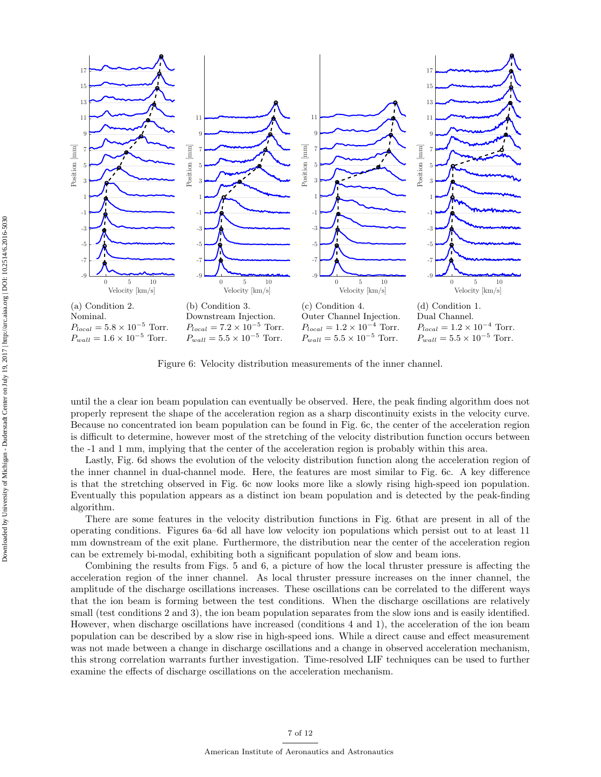<span id="page-6-0"></span>

Figure 6: Velocity distribution measurements of the inner channel.

until the a clear ion beam population can eventually be observed. Here, the peak finding algorithm does not properly represent the shape of the acceleration region as a sharp discontinuity exists in the velocity curve. Because no concentrated ion beam population can be found in Fig. [6c,](#page-6-0) the center of the acceleration region is difficult to determine, however most of the stretching of the velocity distribution function occurs between the -1 and 1 mm, implying that the center of the acceleration region is probably within this area.

Lastly, Fig. [6d](#page-6-0) shows the evolution of the velocity distribution function along the acceleration region of the inner channel in dual-channel mode. Here, the features are most similar to Fig. [6c.](#page-6-0) A key difference is that the stretching observed in Fig. [6c](#page-6-0) now looks more like a slowly rising high-speed ion population. Eventually this population appears as a distinct ion beam population and is detected by the peak-finding algorithm.

There are some features in the velocity distribution functions in Fig. [6t](#page-6-0)hat are present in all of the operating conditions. Figures [6a–6d](#page-6-0) all have low velocity ion populations which persist out to at least 11 mm downstream of the exit plane. Furthermore, the distribution near the center of the acceleration region can be extremely bi-modal, exhibiting both a significant population of slow and beam ions.

Combining the results from Figs. [5](#page-5-0) and [6,](#page-6-0) a picture of how the local thruster pressure is affecting the acceleration region of the inner channel. As local thruster pressure increases on the inner channel, the amplitude of the discharge oscillations increases. These oscillations can be correlated to the different ways that the ion beam is forming between the test conditions. When the discharge oscillations are relatively small (test conditions 2 and 3), the ion beam population separates from the slow ions and is easily identified. However, when discharge oscillations have increased (conditions 4 and 1), the acceleration of the ion beam population can be described by a slow rise in high-speed ions. While a direct cause and effect measurement was not made between a change in discharge oscillations and a change in observed acceleration mechanism, this strong correlation warrants further investigation. Time-resolved LIF techniques can be used to further examine the effects of discharge oscillations on the acceleration mechanism.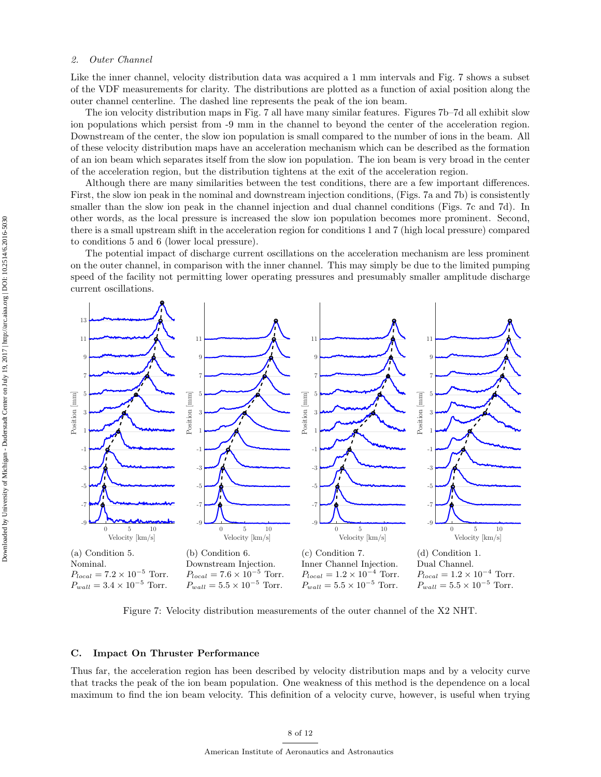#### 2. Outer Channel

Like the inner channel, velocity distribution data was acquired a 1 mm intervals and Fig. [7](#page-7-0) shows a subset of the VDF measurements for clarity. The distributions are plotted as a function of axial position along the outer channel centerline. The dashed line represents the peak of the ion beam.

The ion velocity distribution maps in Fig. [7](#page-7-0) all have many similar features. Figures [7b–7d](#page-7-0) all exhibit slow ion populations which persist from -9 mm in the channel to beyond the center of the acceleration region. Downstream of the center, the slow ion population is small compared to the number of ions in the beam. All of these velocity distribution maps have an acceleration mechanism which can be described as the formation of an ion beam which separates itself from the slow ion population. The ion beam is very broad in the center of the acceleration region, but the distribution tightens at the exit of the acceleration region.

Although there are many similarities between the test conditions, there are a few important differences. First, the slow ion peak in the nominal and downstream injection conditions, (Figs. [7a](#page-7-0) and [7b\)](#page-7-0) is consistently smaller than the slow ion peak in the channel injection and dual channel conditions (Figs. [7c](#page-7-0) and [7d\)](#page-7-0). In other words, as the local pressure is increased the slow ion population becomes more prominent. Second, there is a small upstream shift in the acceleration region for conditions 1 and 7 (high local pressure) compared to conditions 5 and 6 (lower local pressure).

The potential impact of discharge current oscillations on the acceleration mechanism are less prominent on the outer channel, in comparison with the inner channel. This may simply be due to the limited pumping speed of the facility not permitting lower operating pressures and presumably smaller amplitude discharge current oscillations.

<span id="page-7-0"></span>

Figure 7: Velocity distribution measurements of the outer channel of the X2 NHT.

## C. Impact On Thruster Performance

Thus far, the acceleration region has been described by velocity distribution maps and by a velocity curve that tracks the peak of the ion beam population. One weakness of this method is the dependence on a local maximum to find the ion beam velocity. This definition of a velocity curve, however, is useful when trying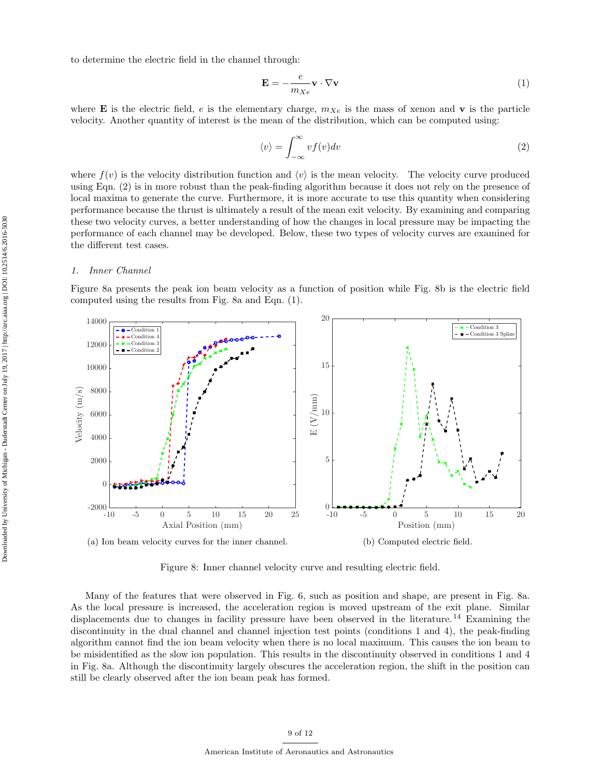to determine the electric field in the channel through:

$$
\mathbf{E} = -\frac{e}{m_{Xe}} \mathbf{v} \cdot \nabla \mathbf{v}
$$
 (1)

where **E** is the electric field, e is the elementary charge,  $m_{Xe}$  is the mass of xenon and **v** is the particle velocity. Another quantity of interest is the mean of the distribution, which can be computed using:

$$
\langle v \rangle = \int_{-\infty}^{\infty} v f(v) dv \tag{2}
$$

where  $f(v)$  is the velocity distribution function and  $\langle v \rangle$  is the mean velocity. The velocity curve produced using Eqn. [\(2\)](#page-7-0) is in more robust than the peak-finding algorithm because it does not rely on the presence of local maxima to generate the curve. Furthermore, it is more accurate to use this quantity when considering performance because the thrust is ultimately a result of the mean exit velocity. By examining and comparing these two velocity curves, a better understanding of how the changes in local pressure may be impacting the performance of each channel may be developed. Below, these two types of velocity curves are examined for the different test cases.

#### 1. Inner Channel

Figure [8a](#page-8-0) presents the peak ion beam velocity as a function of position while Fig. [8b](#page-8-0) is the electric field computed using the results from Fig. [8a](#page-8-0) and Eqn. [\(1\)](#page-7-0).

<span id="page-8-0"></span>

Figure 8: Inner channel velocity curve and resulting electric field.

Many of the features that were observed in Fig. [6,](#page-6-0) such as position and shape, are present in Fig. [8a.](#page-8-0) As the local pressure is increased, the acceleration region is moved upstream of the exit plane. Similar displacements due to changes in facility pressure have been observed in the literature.<sup>[14](#page-11-12)</sup> Examining the discontinuity in the dual channel and channel injection test points (conditions 1 and 4), the peak-finding algorithm cannot find the ion beam velocity when there is no local maximum. This causes the ion beam to be misidentified as the slow ion population. This results in the discontinuity observed in conditions 1 and 4 in Fig. [8a.](#page-8-0) Although the discontinuity largely obscures the acceleration region, the shift in the position can still be clearly observed after the ion beam peak has formed.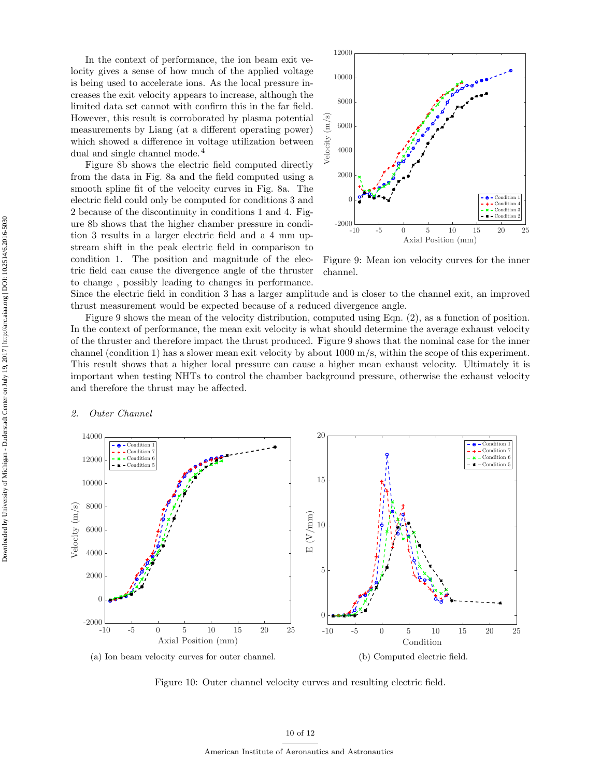In the context of performance, the ion beam exit velocity gives a sense of how much of the applied voltage is being used to accelerate ions. As the local pressure increases the exit velocity appears to increase, although the limited data set cannot with confirm this in the far field. However, this result is corroborated by plasma potential measurements by Liang (at a different operating power) which showed a difference in voltage utilization between dual and single channel mode. [4](#page-11-2)

Figure [8b](#page-8-0) shows the electric field computed directly from the data in Fig. [8a](#page-8-0) and the field computed using a smooth spline fit of the velocity curves in Fig. [8a.](#page-8-0) The electric field could only be computed for conditions 3 and 2 because of the discontinuity in conditions 1 and 4. Figure [8b](#page-8-0) shows that the higher chamber pressure in condition 3 results in a larger electric field and a 4 mm upstream shift in the peak electric field in comparison to condition 1. The position and magnitude of the electric field can cause the divergence angle of the thruster to change , possibly leading to changes in performance.

<span id="page-9-0"></span>

Figure 9: Mean ion velocity curves for the inner channel.

Since the electric field in condition 3 has a larger amplitude and is closer to the channel exit, an improved thrust measurement would be expected because of a reduced divergence angle.

Figure [9](#page-9-0) shows the mean of the velocity distribution, computed using Eqn. [\(2\)](#page-7-0), as a function of position. In the context of performance, the mean exit velocity is what should determine the average exhaust velocity of the thruster and therefore impact the thrust produced. Figure [9](#page-9-0) shows that the nominal case for the inner channel (condition 1) has a slower mean exit velocity by about 1000 m/s, within the scope of this experiment. This result shows that a higher local pressure can cause a higher mean exhaust velocity. Ultimately it is important when testing NHTs to control the chamber background pressure, otherwise the exhaust velocity and therefore the thrust may be affected.

#### 2. Outer Channel

<span id="page-9-1"></span>

Figure 10: Outer channel velocity curves and resulting electric field.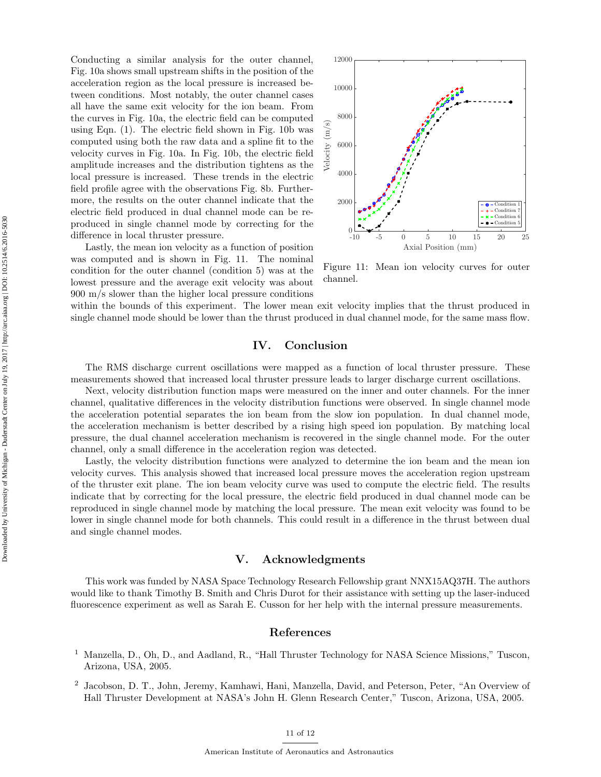Conducting a similar analysis for the outer channel, Fig. [10a](#page-9-1) shows small upstream shifts in the position of the acceleration region as the local pressure is increased between conditions. Most notably, the outer channel cases all have the same exit velocity for the ion beam. From the curves in Fig. [10a,](#page-9-1) the electric field can be computed using Eqn. [\(1\)](#page-7-0). The electric field shown in Fig. [10b](#page-9-1) was computed using both the raw data and a spline fit to the velocity curves in Fig. [10a.](#page-9-1) In Fig. [10b,](#page-9-1) the electric field amplitude increases and the distribution tightens as the local pressure is increased. These trends in the electric field profile agree with the observations Fig. [8b.](#page-8-0) Furthermore, the results on the outer channel indicate that the electric field produced in dual channel mode can be reproduced in single channel mode by correcting for the difference in local thruster pressure.

Lastly, the mean ion velocity as a function of position was computed and is shown in Fig. [11.](#page-10-1) The nominal condition for the outer channel (condition 5) was at the lowest pressure and the average exit velocity was about 900 m/s slower than the higher local pressure conditions

<span id="page-10-1"></span>

Figure 11: Mean ion velocity curves for outer channel.

within the bounds of this experiment. The lower mean exit velocity implies that the thrust produced in single channel mode should be lower than the thrust produced in dual channel mode, for the same mass flow.

# IV. Conclusion

The RMS discharge current oscillations were mapped as a function of local thruster pressure. These measurements showed that increased local thruster pressure leads to larger discharge current oscillations.

Next, velocity distribution function maps were measured on the inner and outer channels. For the inner channel, qualitative differences in the velocity distribution functions were observed. In single channel mode the acceleration potential separates the ion beam from the slow ion population. In dual channel mode, the acceleration mechanism is better described by a rising high speed ion population. By matching local pressure, the dual channel acceleration mechanism is recovered in the single channel mode. For the outer channel, only a small difference in the acceleration region was detected.

Lastly, the velocity distribution functions were analyzed to determine the ion beam and the mean ion velocity curves. This analysis showed that increased local pressure moves the acceleration region upstream of the thruster exit plane. The ion beam velocity curve was used to compute the electric field. The results indicate that by correcting for the local pressure, the electric field produced in dual channel mode can be reproduced in single channel mode by matching the local pressure. The mean exit velocity was found to be lower in single channel mode for both channels. This could result in a difference in the thrust between dual and single channel modes.

# V. Acknowledgments

This work was funded by NASA Space Technology Research Fellowship grant NNX15AQ37H. The authors would like to thank Timothy B. Smith and Chris Durot for their assistance with setting up the laser-induced fluorescence experiment as well as Sarah E. Cusson for her help with the internal pressure measurements.

# References

- <span id="page-10-0"></span><sup>1</sup> Manzella, D., Oh, D., and Aadland, R., "Hall Thruster Technology for NASA Science Missions," Tuscon, Arizona, USA, 2005.
- <sup>2</sup> Jacobson, D. T., John, Jeremy, Kamhawi, Hani, Manzella, David, and Peterson, Peter, "An Overview of Hall Thruster Development at NASA's John H. Glenn Research Center," Tuscon, Arizona, USA, 2005.